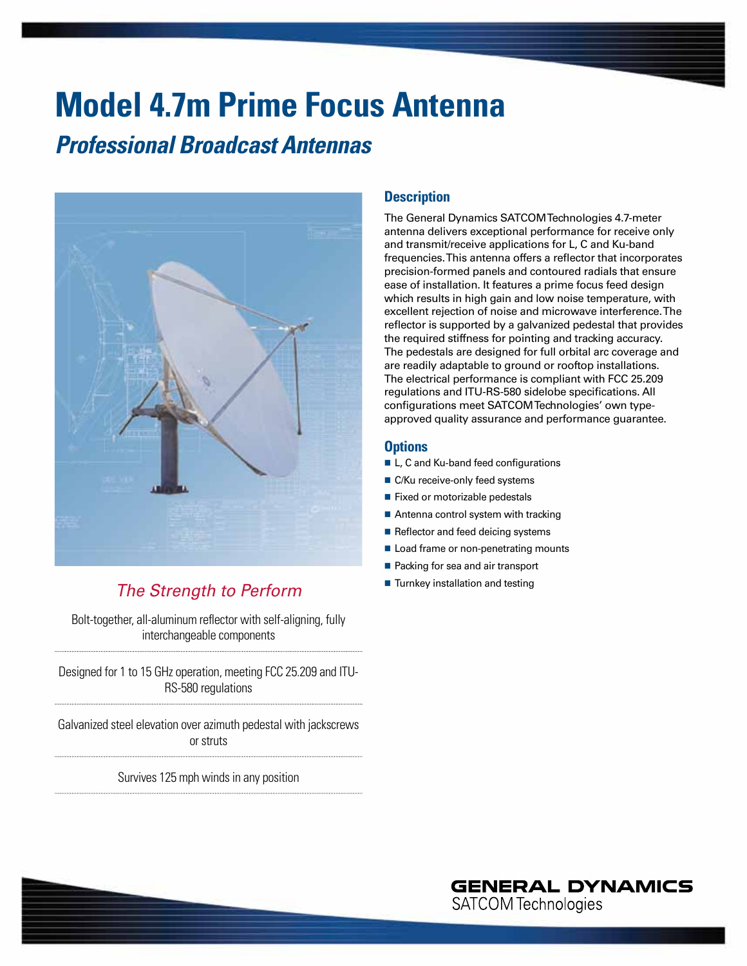# **Model 4.7m Prime Focus Antenna**

### *Professional Broadcast Antennas*



### *The Strength to Perform*

Bolt-together, all-aluminum reflector with self-aligning, fully interchangeable components

Designed for 1 to 15 GHz operation, meeting FCC 25.209 and ITU-RS-580 regulations

Galvanized steel elevation over azimuth pedestal with jackscrews or struts

Survives 125 mph winds in any position

#### **Description**

The General Dynamics SATCOM Technologies 4.7-meter antenna delivers exceptional performance for receive only and transmit/receive applications for L, C and Ku-band frequencies. This antenna offers a reflector that incorporates precision-formed panels and contoured radials that ensure ease of installation. It features a prime focus feed design which results in high gain and low noise temperature, with excellent rejection of noise and microwave interference. The reflector is supported by a galvanized pedestal that provides the required stiffness for pointing and tracking accuracy. The pedestals are designed for full orbital arc coverage and are readily adaptable to ground or rooftop installations. The electrical performance is compliant with FCC 25.209 regulations and ITU-RS-580 sidelobe specifications. All configurations meet SATCOM Technologies' own typeapproved quality assurance and performance guarantee.

#### **Options**

- L, C and Ku-band feed configurations
- C/Ku receive-only feed systems
- Fixed or motorizable pedestals
- Antenna control system with tracking
- Reflector and feed deicing systems
- Load frame or non-penetrating mounts
- Packing for sea and air transport
- **Turnkey installation and testing**